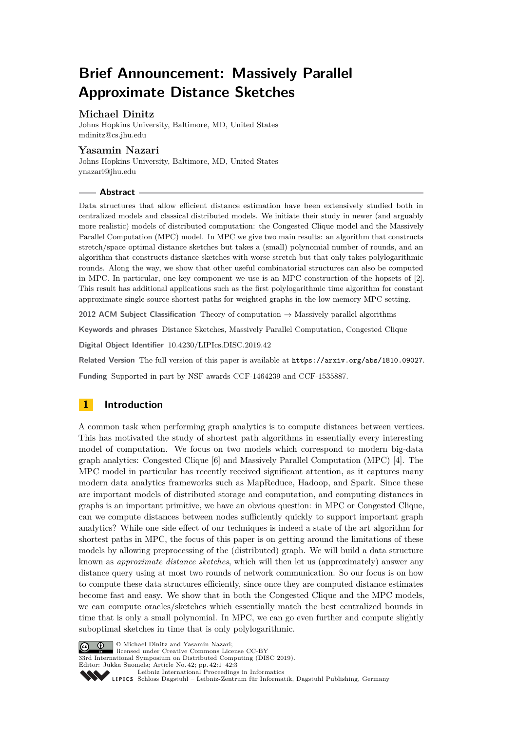# **Brief Announcement: Massively Parallel Approximate Distance Sketches**

## **Michael Dinitz**

Johns Hopkins University, Baltimore, MD, United States [mdinitz@cs.jhu.edu](mailto:mdinitz@cs.jhu.edu)

### **Yasamin Nazari**

Johns Hopkins University, Baltimore, MD, United States [ynazari@jhu.edu](mailto:ynazari@jhu.edu)

### **Abstract**

Data structures that allow efficient distance estimation have been extensively studied both in centralized models and classical distributed models. We initiate their study in newer (and arguably more realistic) models of distributed computation: the Congested Clique model and the Massively Parallel Computation (MPC) model. In MPC we give two main results: an algorithm that constructs stretch/space optimal distance sketches but takes a (small) polynomial number of rounds, and an algorithm that constructs distance sketches with worse stretch but that only takes polylogarithmic rounds. Along the way, we show that other useful combinatorial structures can also be computed in MPC. In particular, one key component we use is an MPC construction of the hopsets of [\[2\]](#page-2-0). This result has additional applications such as the first polylogarithmic time algorithm for constant approximate single-source shortest paths for weighted graphs in the low memory MPC setting.

**2012 ACM Subject Classification** Theory of computation → Massively parallel algorithms

**Keywords and phrases** Distance Sketches, Massively Parallel Computation, Congested Clique

**Digital Object Identifier** [10.4230/LIPIcs.DISC.2019.42](https://doi.org/10.4230/LIPIcs.DISC.2019.42)

Related Version The full version of this paper is available at <https://arxiv.org/abs/1810.09027>.

**Funding** Supported in part by NSF awards CCF-1464239 and CCF-1535887.

# **1 Introduction**

A common task when performing graph analytics is to compute distances between vertices. This has motivated the study of shortest path algorithms in essentially every interesting model of computation. We focus on two models which correspond to modern big-data graph analytics: Congested Clique [\[6\]](#page-2-1) and Massively Parallel Computation (MPC) [\[4\]](#page-2-2). The MPC model in particular has recently received significant attention, as it captures many modern data analytics frameworks such as MapReduce, Hadoop, and Spark. Since these are important models of distributed storage and computation, and computing distances in graphs is an important primitive, we have an obvious question: in MPC or Congested Clique, can we compute distances between nodes sufficiently quickly to support important graph analytics? While one side effect of our techniques is indeed a state of the art algorithm for shortest paths in MPC, the focus of this paper is on getting around the limitations of these models by allowing preprocessing of the (distributed) graph. We will build a data structure known as *approximate distance sketches*, which will then let us (approximately) answer any distance query using at most two rounds of network communication. So our focus is on how to compute these data structures efficiently, since once they are computed distance estimates become fast and easy. We show that in both the Congested Clique and the MPC models, we can compute oracles/sketches which essentially match the best centralized bounds in time that is only a small polynomial. In MPC, we can go even further and compute slightly suboptimal sketches in time that is only polylogarithmic.



**C**  $\bullet$  **O** Michael Dinitz and Yasamin Nazari: licensed under Creative Commons License CC-BY

33rd International Symposium on Distributed Computing (DISC 2019). Editor: Jukka Suomela; Article No. 42; pp. 42:1–42[:3](#page-2-3)

[Leibniz International Proceedings in Informatics](https://www.dagstuhl.de/lipics/)

Leibniz international Floretungs in missimosische Publishing, Germany<br>LIPICS [Schloss Dagstuhl – Leibniz-Zentrum für Informatik, Dagstuhl Publishing, Germany](https://www.dagstuhl.de)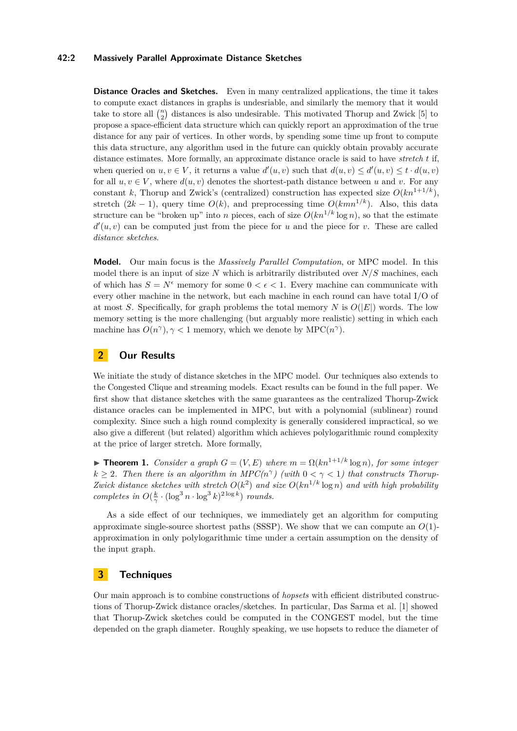#### **42:2 Massively Parallel Approximate Distance Sketches**

**Distance Oracles and Sketches.** Even in many centralized applications, the time it takes to compute exact distances in graphs is undesriable, and similarly the memory that it would take to store all  $\binom{n}{2}$  distances is also undesirable. This motivated Thorup and Zwick [\[5\]](#page-2-4) to propose a space-efficient data structure which can quickly report an approximation of the true distance for any pair of vertices. In other words, by spending some time up front to compute this data structure, any algorithm used in the future can quickly obtain provably accurate distance estimates. More formally, an approximate distance oracle is said to have *stretch t* if, when queried on  $u, v \in V$ , it returns a value  $d'(u, v)$  such that  $d(u, v) \leq d'(u, v) \leq t \cdot d(u, v)$ for all  $u, v \in V$ , where  $d(u, v)$  denotes the shortest-path distance between *u* and *v*. For any constant *k*, Thorup and Zwick's (centralized) construction has expected size  $O(kn^{1+1/k})$ , stretch  $(2k - 1)$ , query time  $O(k)$ , and preprocessing time  $O(kmn^{1/k})$ . Also, this data structure can be "broken up" into *n* pieces, each of size  $O(kn^{1/k} \log n)$ , so that the estimate  $d'(u, v)$  can be computed just from the piece for *u* and the piece for *v*. These are called *distance sketches*.

**Model.** Our main focus is the *Massively Parallel Computation*, or MPC model. In this model there is an input of size *N* which is arbitrarily distributed over *N/S* machines, each of which has  $S = N^{\epsilon}$  memory for some  $0 < \epsilon < 1$ . Every machine can communicate with every other machine in the network, but each machine in each round can have total I/O of at most *S*. Specifically, for graph problems the total memory *N* is  $O(|E|)$  words. The low memory setting is the more challenging (but arguably more realistic) setting in which each machine has  $O(n^{\gamma})$ ,  $\gamma$  < 1 memory, which we denote by MPC( $n^{\gamma}$ ).

### **2 Our Results**

We initiate the study of distance sketches in the MPC model. Our techniques also extends to the Congested Clique and streaming models. Exact results can be found in the full paper. We first show that distance sketches with the same guarantees as the centralized Thorup-Zwick distance oracles can be implemented in MPC, but with a polynomial (sublinear) round complexity. Since such a high round complexity is generally considered impractical, so we also give a different (but related) algorithm which achieves polylogarithmic round complexity at the price of larger stretch. More formally,

**Figure 1.** *Consider a graph*  $G = (V, E)$  *where*  $m = \Omega(kn^{1+1/k} \log n)$ *, for some integer*  $k \geq 2$ . Then there is an algorithm in  $MPC(n^{\gamma})$  (with  $0 < \gamma < 1$ ) that constructs Thorup-*Zwick distance sketches with stretch*  $O(k^2)$  *and size*  $O(kn^{1/k} \log n)$  *and with high probability completes in*  $O(\frac{k}{\gamma} \cdot (\log^3 n \cdot \log^3 k)^{2 \log k})$  *rounds.* 

As a side effect of our techniques, we immediately get an algorithm for computing approximate single-source shortest paths (SSSP). We show that we can compute an *O*(1) approximation in only polylogarithmic time under a certain assumption on the density of the input graph.

### **3 Techniques**

Our main approach is to combine constructions of *hopsets* with efficient distributed constructions of Thorup-Zwick distance oracles/sketches. In particular, Das Sarma et al. [\[1\]](#page-2-5) showed that Thorup-Zwick sketches could be computed in the CONGEST model, but the time depended on the graph diameter. Roughly speaking, we use hopsets to reduce the diameter of